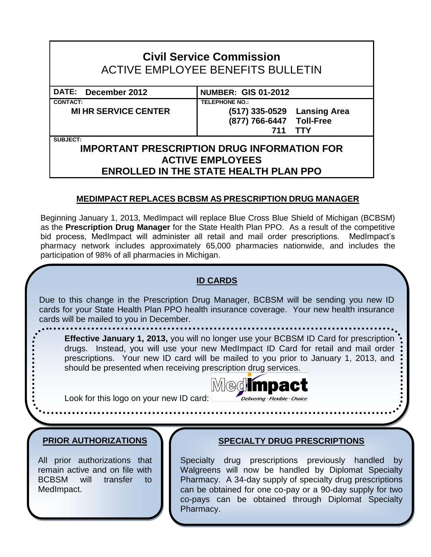# **Civil Service Commission** ACTIVE EMPLOYEE BENEFITS BULLETIN

**CONTACT: TELEPHONE NO.:**

## **DATE: December 2012 NUMBER: GIS 01-2012**

**MI HR SERVICE CENTER (517) 335-0529 Lansing Area**

**(877) 766-6447 Toll-Free 711 TTY**

**SUBJECT:**

#### **IMPORTANT PRESCRIPTION DRUG INFORMATION FOR ACTIVE EMPLOYEES ENROLLED IN THE STATE HEALTH PLAN PPO**

#### **MEDIMPACT REPLACES BCBSM AS PRESCRIPTION DRUG MANAGER**

Beginning January 1, 2013, MedImpact will replace Blue Cross Blue Shield of Michigan (BCBSM) as the **Prescription Drug Manager** for the State Health Plan PPO. As a result of the competitive bid process, MedImpact will administer all retail and mail order prescriptions. MedImpact's pharmacy network includes approximately 65,000 pharmacies nationwide, and includes the participation of 98% of all pharmacies in Michigan.



Pharmacy.